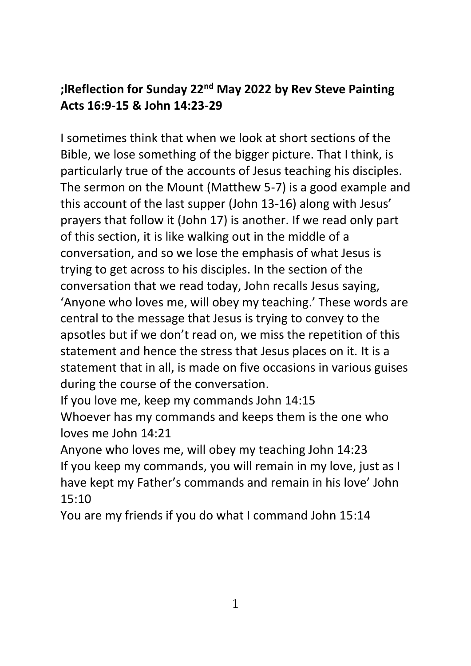## **;lReflection for Sunday 22nd May 2022 by Rev Steve Painting Acts 16:9-15 & John 14:23-29**

I sometimes think that when we look at short sections of the Bible, we lose something of the bigger picture. That I think, is particularly true of the accounts of Jesus teaching his disciples. The sermon on the Mount (Matthew 5-7) is a good example and this account of the last supper (John 13-16) along with Jesus' prayers that follow it (John 17) is another. If we read only part of this section, it is like walking out in the middle of a conversation, and so we lose the emphasis of what Jesus is trying to get across to his disciples. In the section of the conversation that we read today, John recalls Jesus saying, 'Anyone who loves me, will obey my teaching.' These words are central to the message that Jesus is trying to convey to the apsotles but if we don't read on, we miss the repetition of this statement and hence the stress that Jesus places on it. It is a statement that in all, is made on five occasions in various guises during the course of the conversation.

If you love me, keep my commands John 14:15 Whoever has my commands and keeps them is the one who loves me John 14:21

Anyone who loves me, will obey my teaching John 14:23 If you keep my commands, you will remain in my love, just as I have kept my Father's commands and remain in his love' John 15:10

You are my friends if you do what I command John 15:14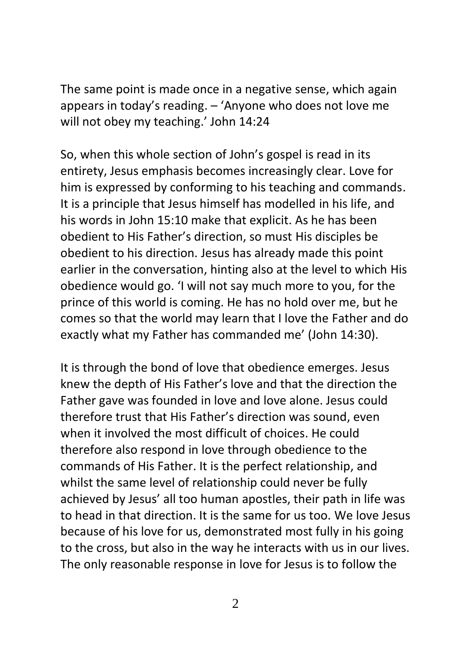The same point is made once in a negative sense, which again appears in today's reading. – 'Anyone who does not love me will not obey my teaching.' John 14:24

So, when this whole section of John's gospel is read in its entirety, Jesus emphasis becomes increasingly clear. Love for him is expressed by conforming to his teaching and commands. It is a principle that Jesus himself has modelled in his life, and his words in John 15:10 make that explicit. As he has been obedient to His Father's direction, so must His disciples be obedient to his direction. Jesus has already made this point earlier in the conversation, hinting also at the level to which His obedience would go. 'I will not say much more to you, for the prince of this world is coming. He has no hold over me, but he comes so that the world may learn that I love the Father and do exactly what my Father has commanded me' (John 14:30).

It is through the bond of love that obedience emerges. Jesus knew the depth of His Father's love and that the direction the Father gave was founded in love and love alone. Jesus could therefore trust that His Father's direction was sound, even when it involved the most difficult of choices. He could therefore also respond in love through obedience to the commands of His Father. It is the perfect relationship, and whilst the same level of relationship could never be fully achieved by Jesus' all too human apostles, their path in life was to head in that direction. It is the same for us too. We love Jesus because of his love for us, demonstrated most fully in his going to the cross, but also in the way he interacts with us in our lives. The only reasonable response in love for Jesus is to follow the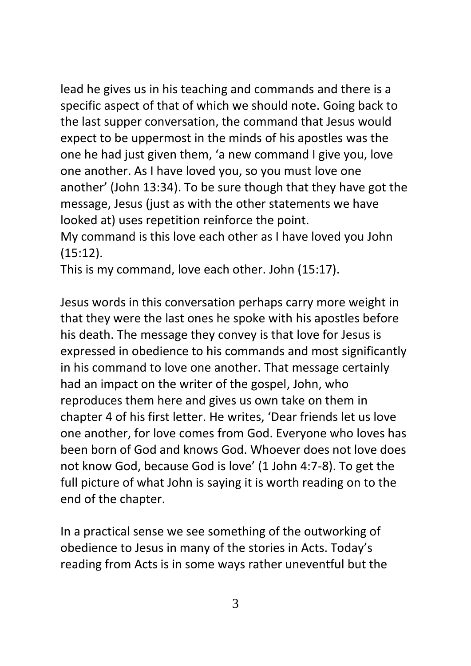lead he gives us in his teaching and commands and there is a specific aspect of that of which we should note. Going back to the last supper conversation, the command that Jesus would expect to be uppermost in the minds of his apostles was the one he had just given them, 'a new command I give you, love one another. As I have loved you, so you must love one another' (John 13:34). To be sure though that they have got the message, Jesus (just as with the other statements we have looked at) uses repetition reinforce the point.

My command is this love each other as I have loved you John (15:12).

This is my command, love each other. John (15:17).

Jesus words in this conversation perhaps carry more weight in that they were the last ones he spoke with his apostles before his death. The message they convey is that love for Jesus is expressed in obedience to his commands and most significantly in his command to love one another. That message certainly had an impact on the writer of the gospel, John, who reproduces them here and gives us own take on them in chapter 4 of his first letter. He writes, 'Dear friends let us love one another, for love comes from God. Everyone who loves has been born of God and knows God. Whoever does not love does not know God, because God is love' (1 John 4:7-8). To get the full picture of what John is saying it is worth reading on to the end of the chapter.

In a practical sense we see something of the outworking of obedience to Jesus in many of the stories in Acts. Today's reading from Acts is in some ways rather uneventful but the